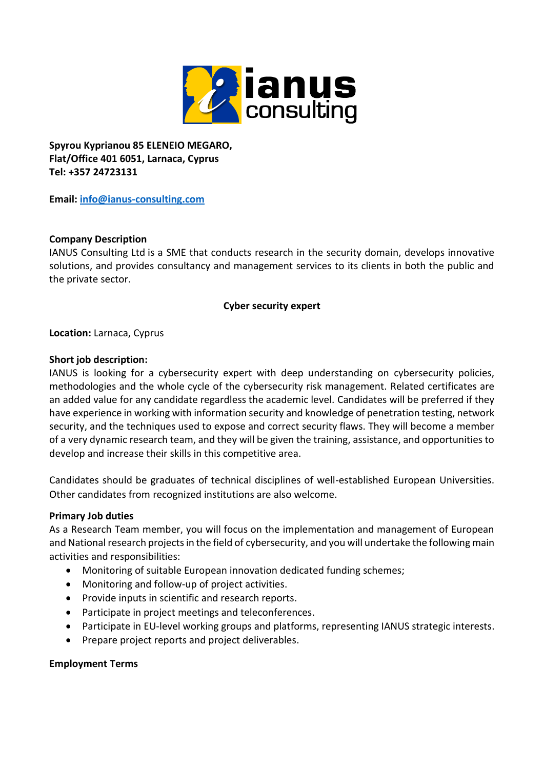

**Spyrou Kyprianou 85 ELENEIO MEGARO, Flat/Office 401 6051, Larnaca, Cyprus Tel: +357 24723131**

**Email: [info@ianus-consulting.com](mailto:info@ianus-consulting.com)**

### **Company Description**

IANUS Consulting Ltd is a SME that conducts research in the security domain, develops innovative solutions, and provides consultancy and management services to its clients in both the public and the private sector.

#### **Cyber security expert**

**Location:** Larnaca, Cyprus

#### **Short job description:**

IANUS is looking for a cybersecurity expert with deep understanding on cybersecurity policies, methodologies and the whole cycle of the cybersecurity risk management. Related certificates are an added value for any candidate regardless the academic level. Candidates will be preferred if they have experience in working with information security and knowledge of penetration testing, network security, and the techniques used to expose and correct security flaws. They will become a member of a very dynamic research team, and they will be given the training, assistance, and opportunities to develop and increase their skills in this competitive area.

Candidates should be graduates of technical disciplines of well-established European Universities. Other candidates from recognized institutions are also welcome.

#### **Primary Job duties**

As a Research Team member, you will focus on the implementation and management of European and National research projects in the field of cybersecurity, and you will undertake the following main activities and responsibilities:

- Monitoring of suitable European innovation dedicated funding schemes;
- Monitoring and follow-up of project activities.
- Provide inputs in scientific and research reports.
- Participate in project meetings and teleconferences.
- Participate in EU-level working groups and platforms, representing IANUS strategic interests.
- Prepare project reports and project deliverables.

#### **Employment Terms**